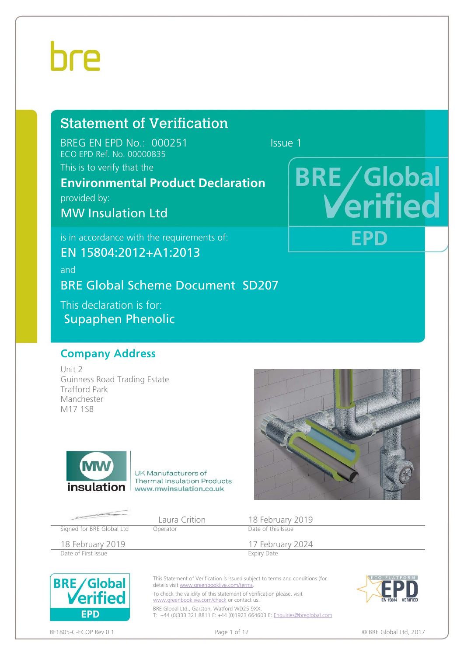## Statement of Verification

BREG EN EPD No.: 000251 Issue 1 ECO EPD Ref. No. 00000835

This is to verify that the

## **Environmental Product Declaration**

provided by:

MW Insulation Ltd

is in accordance with the requirements of:

EN 15804:2012+A1:2013

and BRE Global Scheme Document SD207 This declaration is for:

Supaphen Phenolic

### Company Address

Unit 2 Guinness Road Trading Estate Trafford Park Manchester M17 1SB



UK Manufacturers of **Thermal Insulation Products insulation** www.mwinsulation.co.uk



**BRE/Global** 

**EPD** 

tie

Laura Crition 18 February 2019

18 February 2019<br>
Date of First Issue<br>
Date of First Issue<br>
Expiry Date Date of First Issue

Signed for BRE Global Ltd Operator



This Statement of Verification is issued subject to terms and conditions (for details visit www.greenbooklive.com/terms.

To check the validity of this statement of verification please, visit www.greenbooklive.com/check or contact us.

BRE Global Ltd., Garston, Watford WD25 9XX. T: +44 (0)333 321 8811 F: +44 (0)1923 664603 E: Enquiries@breglobal.com



BF1805-C-ECOP Rev 0.1 external page 1 of 12 contract the contract of the Contract of the Contract of the Contract of the Contract of the Contract of the Contract of the Contract of the Contract of the Contract of the Contr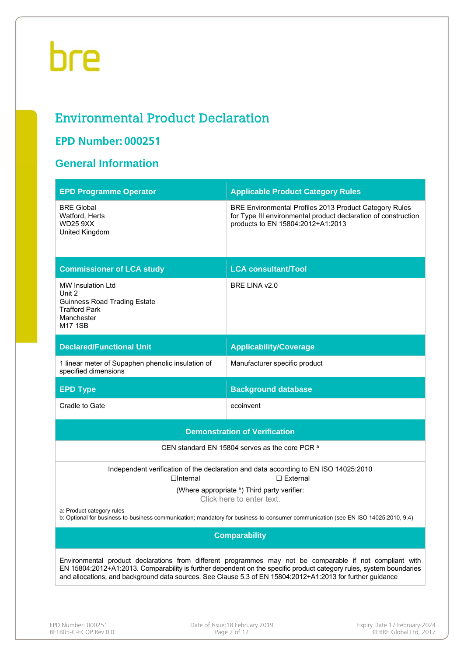## Environmental Product Declaration

### **EPD Number: 000251**

### **General Information**

| <b>EPD Programme Operator</b>                                                                                                     | <b>Applicable Product Category Rules</b>                                                                                                                                                                                                                                                                                                      |  |  |  |
|-----------------------------------------------------------------------------------------------------------------------------------|-----------------------------------------------------------------------------------------------------------------------------------------------------------------------------------------------------------------------------------------------------------------------------------------------------------------------------------------------|--|--|--|
| <b>BRE Global</b><br>Watford, Herts<br><b>WD25 9XX</b><br>United Kingdom                                                          | BRE Environmental Profiles 2013 Product Category Rules<br>for Type III environmental product declaration of construction<br>products to EN 15804:2012+A1:2013                                                                                                                                                                                 |  |  |  |
| <b>Commissioner of LCA study</b>                                                                                                  | <b>LCA consultant/Tool</b>                                                                                                                                                                                                                                                                                                                    |  |  |  |
| <b>MW Insulation Ltd</b><br>Unit 2<br><b>Guinness Road Trading Estate</b><br><b>Trafford Park</b><br>Manchester<br><b>M17 1SB</b> | BRE LINA v2.0                                                                                                                                                                                                                                                                                                                                 |  |  |  |
| <b>Declared/Functional Unit</b>                                                                                                   | <b>Applicability/Coverage</b>                                                                                                                                                                                                                                                                                                                 |  |  |  |
| 1 linear meter of Supaphen phenolic insulation of<br>specified dimensions                                                         | Manufacturer specific product                                                                                                                                                                                                                                                                                                                 |  |  |  |
| <b>EPD Type</b>                                                                                                                   | <b>Background database</b>                                                                                                                                                                                                                                                                                                                    |  |  |  |
| Cradle to Gate                                                                                                                    | ecoinvent                                                                                                                                                                                                                                                                                                                                     |  |  |  |
|                                                                                                                                   | <b>Demonstration of Verification</b>                                                                                                                                                                                                                                                                                                          |  |  |  |
|                                                                                                                                   | CEN standard EN 15804 serves as the core PCR a                                                                                                                                                                                                                                                                                                |  |  |  |
| $\Box$ Internal                                                                                                                   | Independent verification of the declaration and data according to EN ISO 14025:2010<br>$\Box$ External                                                                                                                                                                                                                                        |  |  |  |
|                                                                                                                                   | (Where appropriate b) Third party verifier:<br>Click here to enter text.                                                                                                                                                                                                                                                                      |  |  |  |
| a: Product category rules                                                                                                         | b: Optional for business-to-business communication; mandatory for business-to-consumer communication (see EN ISO 14025:2010, 9.4)                                                                                                                                                                                                             |  |  |  |
|                                                                                                                                   | <b>Comparability</b>                                                                                                                                                                                                                                                                                                                          |  |  |  |
|                                                                                                                                   | Environmental product declarations from different programmes may not be comparable if not compliant with<br>EN 15804:2012+A1:2013. Comparability is further dependent on the specific product category rules, system boundaries<br>and allocations, and background data sources. See Clause 5.3 of EN 15804:2012+A1:2013 for further guidance |  |  |  |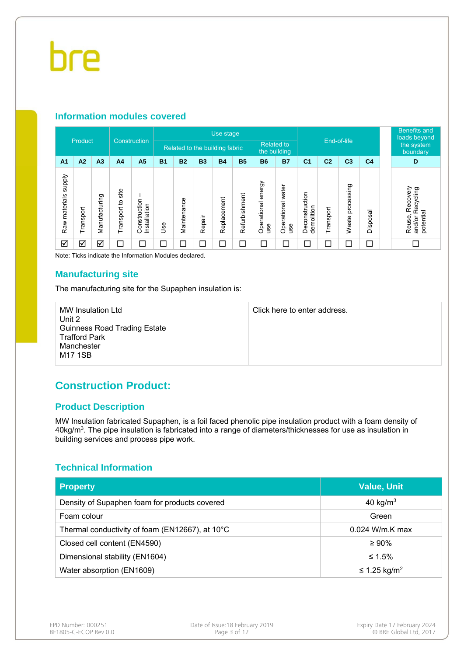#### **Information modules covered**

|                                  |                      | Use stage<br>Construction |                      |                              |           |                                |                          | <b>Benefits and</b><br>loads beyond |               |                              |                          |                              |                |                     |                        |                                                        |
|----------------------------------|----------------------|---------------------------|----------------------|------------------------------|-----------|--------------------------------|--------------------------|-------------------------------------|---------------|------------------------------|--------------------------|------------------------------|----------------|---------------------|------------------------|--------------------------------------------------------|
|                                  | Product              |                           |                      |                              |           | Related to the building fabric |                          |                                     |               | <b>Related to</b>            | the building             | End-of-life                  |                |                     | the system<br>boundary |                                                        |
| A <sub>1</sub>                   | A2                   | A <sub>3</sub>            | A <sub>4</sub>       | A <sub>5</sub>               | <b>B1</b> | <b>B2</b>                      | <b>B3</b>                | <b>B4</b>                           | <b>B5</b>     | <b>B6</b>                    | <b>B7</b>                | C <sub>1</sub>               | C <sub>2</sub> | C <sub>3</sub>      | C <sub>4</sub>         | D                                                      |
| <b>Addns</b><br>materials<br>Raw | Transport            | Manufacturing             | site<br>Transport to | Construction<br>Installation | 9se       | Maintenance                    | Repair                   | Replacement                         | Refurbishment | energy<br>Operational<br>use | Operational water<br>use | Deconstruction<br>demolition | Transport      | processing<br>Waste | Disposal               | Recovery<br>Recycling<br>potential<br>and/or<br>Reuse, |
| ☑                                | $\blacktriangledown$ | ☑                         | ⊏                    | $\Box$                       | ⊐         | Г                              | $\overline{\phantom{a}}$ | $\Box$                              | $\Box$        | $\Box$                       |                          | ⊏                            | ⊏              |                     | $\Box$                 |                                                        |

Note: Ticks indicate the Information Modules declared.

#### **Manufacturing site**

The manufacturing site for the Supaphen insulation is:

| MW Insulation Ltd<br>Unit 2                                                          | Click here to enter address. |
|--------------------------------------------------------------------------------------|------------------------------|
| <b>Guinness Road Trading Estate</b><br><b>Trafford Park</b><br>Manchester<br>M17 1SB |                              |

### **Construction Product:**

#### **Product Description**

MW Insulation fabricated Supaphen, is a foil faced phenolic pipe insulation product with a foam density of 40kg/m3. The pipe insulation is fabricated into a range of diameters/thicknesses for use as insulation in building services and process pipe work.

#### **Technical Information**

| <b>Property</b>                                 | <b>Value, Unit</b>       |
|-------------------------------------------------|--------------------------|
| Density of Supaphen foam for products covered   | 40 kg/ $m3$              |
| Foam colour                                     | Green                    |
| Thermal conductivity of foam (EN12667), at 10°C | $0.024$ W/m.K max        |
| Closed cell content (EN4590)                    | $\geq 90\%$              |
| Dimensional stability (EN1604)                  | ≤ 1.5%                   |
| Water absorption (EN1609)                       | ≤ 1.25 kg/m <sup>2</sup> |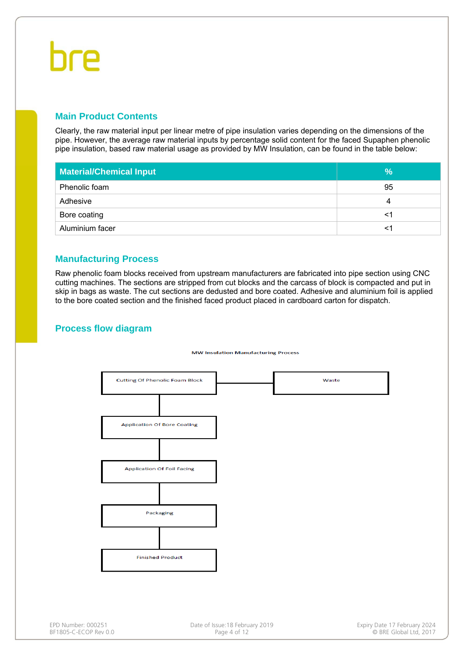# hre

#### **Main Product Contents**

Clearly, the raw material input per linear metre of pipe insulation varies depending on the dimensions of the pipe. However, the average raw material inputs by percentage solid content for the faced Supaphen phenolic pipe insulation, based raw material usage as provided by MW Insulation, can be found in the table below:

| <b>Material/Chemical Input</b> | $\frac{9}{6}$ |
|--------------------------------|---------------|
| Phenolic foam                  | 95            |
| Adhesive                       | 4             |
| Bore coating                   | <1            |
| Aluminium facer                | <′            |

#### **Manufacturing Process**

Raw phenolic foam blocks received from upstream manufacturers are fabricated into pipe section using CNC cutting machines. The sections are stripped from cut blocks and the carcass of block is compacted and put in skip in bags as waste. The cut sections are dedusted and bore coated. Adhesive and aluminium foil is applied to the bore coated section and the finished faced product placed in cardboard carton for dispatch.

#### **Process flow diagram**

#### **MW Insulation Manufacturing Process**

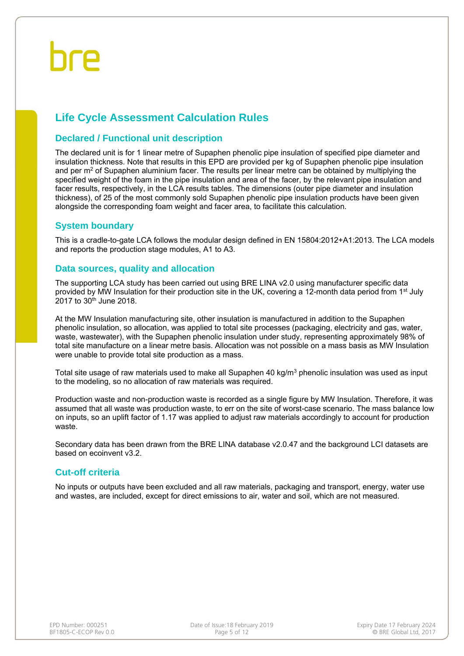### **Life Cycle Assessment Calculation Rules**

#### **Declared / Functional unit description**

The declared unit is for 1 linear metre of Supaphen phenolic pipe insulation of specified pipe diameter and insulation thickness. Note that results in this EPD are provided per kg of Supaphen phenolic pipe insulation and per  $m<sup>2</sup>$  of Supaphen aluminium facer. The results per linear metre can be obtained by multiplying the specified weight of the foam in the pipe insulation and area of the facer, by the relevant pipe insulation and facer results, respectively, in the LCA results tables. The dimensions (outer pipe diameter and insulation thickness), of 25 of the most commonly sold Supaphen phenolic pipe insulation products have been given alongside the corresponding foam weight and facer area, to facilitate this calculation.

#### **System boundary**

This is a cradle-to-gate LCA follows the modular design defined in EN 15804:2012+A1:2013. The LCA models and reports the production stage modules, A1 to A3.

#### **Data sources, quality and allocation**

The supporting LCA study has been carried out using BRE LINA v2.0 using manufacturer specific data provided by MW Insulation for their production site in the UK, covering a 12-month data period from 1st July  $2017$  to  $30<sup>th</sup>$  June 2018.

At the MW Insulation manufacturing site, other insulation is manufactured in addition to the Supaphen phenolic insulation, so allocation, was applied to total site processes (packaging, electricity and gas, water, waste, wastewater), with the Supaphen phenolic insulation under study, representing approximately 98% of total site manufacture on a linear metre basis. Allocation was not possible on a mass basis as MW Insulation were unable to provide total site production as a mass.

Total site usage of raw materials used to make all Supaphen 40 kg/m<sup>3</sup> phenolic insulation was used as input to the modeling, so no allocation of raw materials was required.

Production waste and non-production waste is recorded as a single figure by MW Insulation. Therefore, it was assumed that all waste was production waste, to err on the site of worst-case scenario. The mass balance low on inputs, so an uplift factor of 1.17 was applied to adjust raw materials accordingly to account for production waste.

Secondary data has been drawn from the BRE LINA database v2.0.47 and the background LCI datasets are based on ecoinvent v3.2.

#### **Cut-off criteria**

No inputs or outputs have been excluded and all raw materials, packaging and transport, energy, water use and wastes, are included, except for direct emissions to air, water and soil, which are not measured.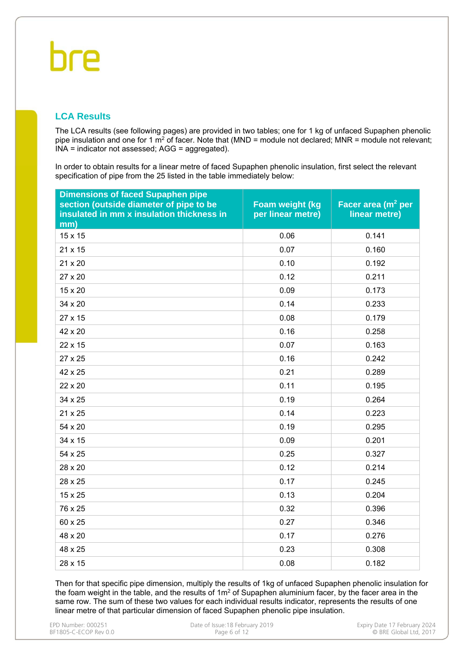### **LCA Results**

The LCA results (see following pages) are provided in two tables; one for 1 kg of unfaced Supaphen phenolic pipe insulation and one for 1  $m^2$  of facer. Note that (MND = module not declared; MNR = module not relevant; INA = indicator not assessed; AGG = aggregated).

In order to obtain results for a linear metre of faced Supaphen phenolic insulation, first select the relevant specification of pipe from the 25 listed in the table immediately below:

| <b>Dimensions of faced Supaphen pipe</b><br>section (outside diameter of pipe to be<br>insulated in mm x insulation thickness in<br>mm) | Foam weight (kg<br>per linear metre) | Facer area (m <sup>2</sup> per<br>linear metre) |
|-----------------------------------------------------------------------------------------------------------------------------------------|--------------------------------------|-------------------------------------------------|
| 15 x 15                                                                                                                                 | 0.06                                 | 0.141                                           |
| 21 x 15                                                                                                                                 | 0.07                                 | 0.160                                           |
| 21 x 20                                                                                                                                 | 0.10                                 | 0.192                                           |
| 27 x 20                                                                                                                                 | 0.12                                 | 0.211                                           |
| 15 x 20                                                                                                                                 | 0.09                                 | 0.173                                           |
| 34 x 20                                                                                                                                 | 0.14                                 | 0.233                                           |
| 27 x 15                                                                                                                                 | 0.08                                 | 0.179                                           |
| 42 x 20                                                                                                                                 | 0.16                                 | 0.258                                           |
| 22 x 15                                                                                                                                 | 0.07                                 | 0.163                                           |
| 27 x 25                                                                                                                                 | 0.16                                 | 0.242                                           |
| 42 x 25                                                                                                                                 | 0.21                                 | 0.289                                           |
| 22 x 20                                                                                                                                 | 0.11                                 | 0.195                                           |
| 34 x 25                                                                                                                                 | 0.19                                 | 0.264                                           |
| 21 x 25                                                                                                                                 | 0.14                                 | 0.223                                           |
| 54 x 20                                                                                                                                 | 0.19                                 | 0.295                                           |
| 34 x 15                                                                                                                                 | 0.09                                 | 0.201                                           |
| 54 x 25                                                                                                                                 | 0.25                                 | 0.327                                           |
| 28 x 20                                                                                                                                 | 0.12                                 | 0.214                                           |
| 28 x 25                                                                                                                                 | 0.17                                 | 0.245                                           |
| 15 x 25                                                                                                                                 | 0.13                                 | 0.204                                           |
| 76 x 25                                                                                                                                 | 0.32                                 | 0.396                                           |
| 60 x 25                                                                                                                                 | 0.27                                 | 0.346                                           |
| 48 x 20                                                                                                                                 | 0.17                                 | 0.276                                           |
| 48 x 25                                                                                                                                 | 0.23                                 | 0.308                                           |
| 28 x 15                                                                                                                                 | 0.08                                 | 0.182                                           |

Then for that specific pipe dimension, multiply the results of 1kg of unfaced Supaphen phenolic insulation for the foam weight in the table, and the results of  $1m<sup>2</sup>$  of Supaphen aluminium facer, by the facer area in the same row. The sum of these two values for each individual results indicator, represents the results of one linear metre of that particular dimension of faced Supaphen phenolic pipe insulation.

| EPD Number: 000251    |
|-----------------------|
| BF1805-C-ECOP Rev 0.0 |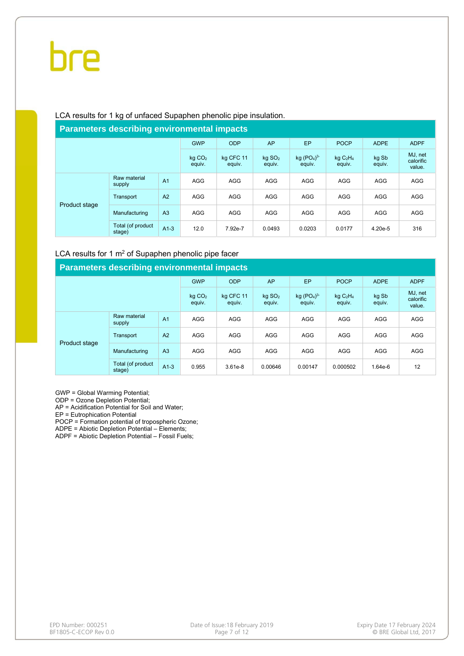#### LCA results for 1 kg of unfaced Supaphen phenolic pipe insulation.

#### **Parameters describing environmental impacts** GWP ODP AP EP POCP ADPE ADPF kg CO2 equiv. kg CFC 11 equiv. kg SO2 equiv. kg  $(PO<sub>4</sub>)<sup>3</sup>$ equiv. kg C2H4 equiv. kg Sb equiv. Product stage Raw material Naw material A1 AGG AGG AGG AGG AGG AGG AGG AGG AGG Transport A2 AGG AGG AGG AGG AGG AGG AGG AGG AGG Manufacturing A3 AGG AGG AGG AGG AGG AGG AGG AGG Total (of product stage) A1-3 12.0 7.92e-7 0.0493 0.0203 0.0177 4.20e-5 316

#### LCA results for 1  $m<sup>2</sup>$  of Supaphen phenolic pipe facer

| <b>Parameters describing environmental impacts</b> |                             |                              |                     |                                |                       |                         |                 |                                |            |  |  |  |
|----------------------------------------------------|-----------------------------|------------------------------|---------------------|--------------------------------|-----------------------|-------------------------|-----------------|--------------------------------|------------|--|--|--|
|                                                    | <b>GWP</b>                  | <b>ODP</b>                   | AP                  | <b>EP</b>                      | <b>POCP</b>           | <b>ADPE</b>             | <b>ADPF</b>     |                                |            |  |  |  |
|                                                    |                             | kg CO <sub>2</sub><br>equiv. | kg CFC 11<br>equiv. | $kq$ SO <sub>2</sub><br>equiv. | kg $(PO4)3$<br>equiv. | $kq$ $C_2H_4$<br>equiv. | kg Sb<br>equiv. | MJ, net<br>calorific<br>value. |            |  |  |  |
|                                                    | Raw material<br>supply      | A <sub>1</sub>               | <b>AGG</b>          | <b>AGG</b>                     | <b>AGG</b>            | <b>AGG</b>              | <b>AGG</b>      | <b>AGG</b>                     | <b>AGG</b> |  |  |  |
|                                                    | Transport                   | A <sub>2</sub>               | <b>AGG</b>          | <b>AGG</b>                     | <b>AGG</b>            | <b>AGG</b>              | <b>AGG</b>      | <b>AGG</b>                     | AGG        |  |  |  |
| Product stage                                      | Manufacturing               | A <sub>3</sub>               | <b>AGG</b>          | <b>AGG</b>                     | <b>AGG</b>            | <b>AGG</b>              | <b>AGG</b>      | <b>AGG</b>                     | <b>AGG</b> |  |  |  |
|                                                    | Total (of product<br>stage) | $A1-3$                       | 0.955               | $3.61e-8$                      | 0.00646               | 0.00147                 | 0.000502        | 1.64e-6                        | 12         |  |  |  |

GWP = Global Warming Potential;

ODP = Ozone Depletion Potential;

AP = Acidification Potential for Soil and Water;

EP = Eutrophication Potential

POCP = Formation potential of tropospheric Ozone;

ADPE = Abiotic Depletion Potential – Elements;

ADPF = Abiotic Depletion Potential – Fossil Fuels;

MJ, net calorific value.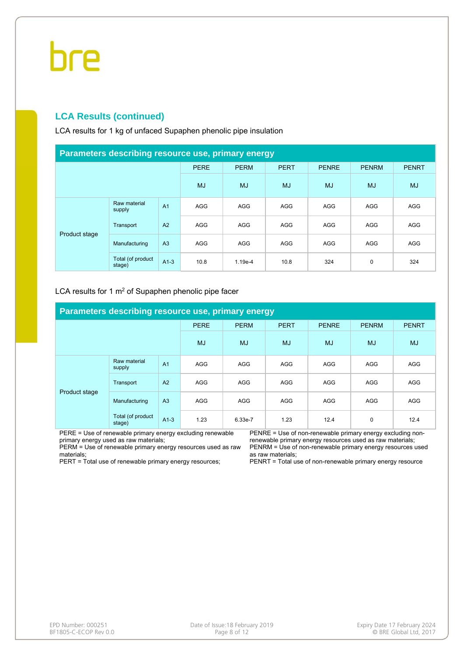#### **LCA Results (continued)**

LCA results for 1 kg of unfaced Supaphen phenolic pipe insulation

| Parameters describing resource use, primary energy |                             |                |             |             |             |              |              |              |  |  |  |  |
|----------------------------------------------------|-----------------------------|----------------|-------------|-------------|-------------|--------------|--------------|--------------|--|--|--|--|
|                                                    |                             |                | <b>PERE</b> | <b>PERM</b> | <b>PERT</b> | <b>PENRE</b> | <b>PENRM</b> | <b>PENRT</b> |  |  |  |  |
|                                                    |                             | <b>MJ</b>      | <b>MJ</b>   | <b>MJ</b>   | <b>MJ</b>   | <b>MJ</b>    | <b>MJ</b>    |              |  |  |  |  |
|                                                    | Raw material<br>supply      | A <sub>1</sub> | <b>AGG</b>  | <b>AGG</b>  | <b>AGG</b>  | <b>AGG</b>   | <b>AGG</b>   | <b>AGG</b>   |  |  |  |  |
|                                                    | Transport                   | A2             | <b>AGG</b>  | <b>AGG</b>  | AGG         | <b>AGG</b>   | <b>AGG</b>   | <b>AGG</b>   |  |  |  |  |
| Product stage                                      | Manufacturing               | A <sub>3</sub> | <b>AGG</b>  | <b>AGG</b>  | <b>AGG</b>  | <b>AGG</b>   | <b>AGG</b>   | <b>AGG</b>   |  |  |  |  |
|                                                    | Total (of product<br>stage) | $A1-3$         | 10.8        | $1.19e-4$   | 10.8        | 324          | 0            | 324          |  |  |  |  |

#### LCA results for 1 m<sup>2</sup> of Supaphen phenolic pipe facer

| Parameters describing resource use, primary energy |                             |                |             |             |             |              |              |              |  |  |  |  |
|----------------------------------------------------|-----------------------------|----------------|-------------|-------------|-------------|--------------|--------------|--------------|--|--|--|--|
|                                                    |                             |                | <b>PERE</b> | <b>PERM</b> | <b>PERT</b> | <b>PENRE</b> | <b>PENRM</b> | <b>PENRT</b> |  |  |  |  |
|                                                    |                             | <b>MJ</b>      | <b>MJ</b>   | <b>MJ</b>   | <b>MJ</b>   | <b>MJ</b>    | <b>MJ</b>    |              |  |  |  |  |
|                                                    | Raw material<br>supply      | A <sub>1</sub> | <b>AGG</b>  | AGG         | <b>AGG</b>  | <b>AGG</b>   | <b>AGG</b>   | <b>AGG</b>   |  |  |  |  |
|                                                    | Transport                   | A <sub>2</sub> | <b>AGG</b>  | AGG         | <b>AGG</b>  | <b>AGG</b>   | <b>AGG</b>   | <b>AGG</b>   |  |  |  |  |
| Product stage                                      | Manufacturing               | A <sub>3</sub> | <b>AGG</b>  | AGG         | <b>AGG</b>  | <b>AGG</b>   | <b>AGG</b>   | <b>AGG</b>   |  |  |  |  |
|                                                    | Total (of product<br>stage) | $A1-3$         | 1.23        | 6.33e-7     | 1.23        | 12.4         | 0            | 12.4         |  |  |  |  |

PERE = Use of renewable primary energy excluding renewable primary energy used as raw materials;

PERM = Use of renewable primary energy resources used as raw materials;

PERT = Total use of renewable primary energy resources;

PENRE = Use of non-renewable primary energy excluding nonrenewable primary energy resources used as raw materials; PENRM = Use of non-renewable primary energy resources used as raw materials;

PENRT = Total use of non-renewable primary energy resource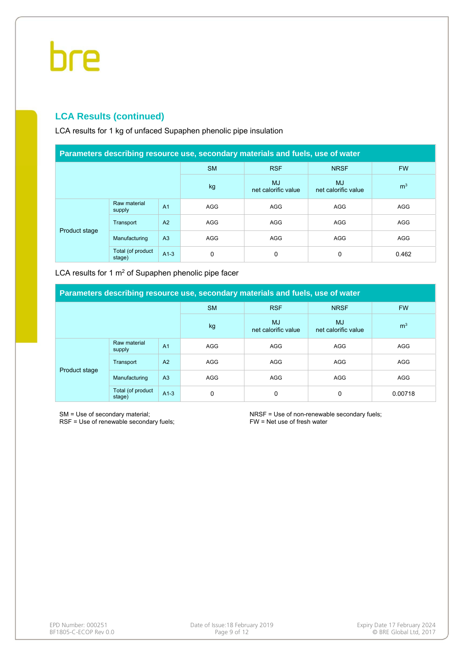### **LCA Results (continued)**

LCA results for 1 kg of unfaced Supaphen phenolic pipe insulation

| Parameters describing resource use, secondary materials and fuels, use of water |                             |                |                                  |                                  |                |            |  |  |  |  |  |
|---------------------------------------------------------------------------------|-----------------------------|----------------|----------------------------------|----------------------------------|----------------|------------|--|--|--|--|--|
|                                                                                 |                             |                | <b>SM</b>                        | <b>RSF</b>                       | <b>NRSF</b>    | <b>FW</b>  |  |  |  |  |  |
|                                                                                 |                             | kg             | <b>MJ</b><br>net calorific value | <b>MJ</b><br>net calorific value | m <sup>3</sup> |            |  |  |  |  |  |
|                                                                                 | Raw material<br>supply      | A <sub>1</sub> | <b>AGG</b>                       | <b>AGG</b>                       | <b>AGG</b>     | <b>AGG</b> |  |  |  |  |  |
|                                                                                 | Transport                   | A2             | <b>AGG</b>                       | <b>AGG</b>                       | <b>AGG</b>     | <b>AGG</b> |  |  |  |  |  |
| Product stage                                                                   | Manufacturing               | A <sub>3</sub> | <b>AGG</b>                       | AGG                              | <b>AGG</b>     | <b>AGG</b> |  |  |  |  |  |
|                                                                                 | Total (of product<br>stage) | $A1-3$         | 0                                | 0                                | 0              | 0.462      |  |  |  |  |  |

LCA results for 1  $m<sup>2</sup>$  of Supaphen phenolic pipe facer

| Parameters describing resource use, secondary materials and fuels, use of water |                             |                |                                  |                                  |                |            |  |  |  |  |  |
|---------------------------------------------------------------------------------|-----------------------------|----------------|----------------------------------|----------------------------------|----------------|------------|--|--|--|--|--|
|                                                                                 |                             |                | <b>SM</b>                        | <b>RSF</b>                       | <b>NRSF</b>    | <b>FW</b>  |  |  |  |  |  |
|                                                                                 |                             | kg             | <b>MJ</b><br>net calorific value | <b>MJ</b><br>net calorific value | m <sup>3</sup> |            |  |  |  |  |  |
|                                                                                 | Raw material<br>supply      | A <sub>1</sub> | <b>AGG</b>                       | <b>AGG</b>                       | AGG            | <b>AGG</b> |  |  |  |  |  |
|                                                                                 | Transport                   | A <sub>2</sub> | <b>AGG</b>                       | <b>AGG</b>                       | <b>AGG</b>     | <b>AGG</b> |  |  |  |  |  |
| Product stage                                                                   | Manufacturing               | A <sub>3</sub> | <b>AGG</b>                       | <b>AGG</b>                       | <b>AGG</b>     | <b>AGG</b> |  |  |  |  |  |
|                                                                                 | Total (of product<br>stage) | $A1-3$         | 0                                | 0                                | 0              | 0.00718    |  |  |  |  |  |

SM = Use of secondary material;

RSF = Use of renewable secondary fuels;

NRSF = Use of non-renewable secondary fuels; FW = Net use of fresh water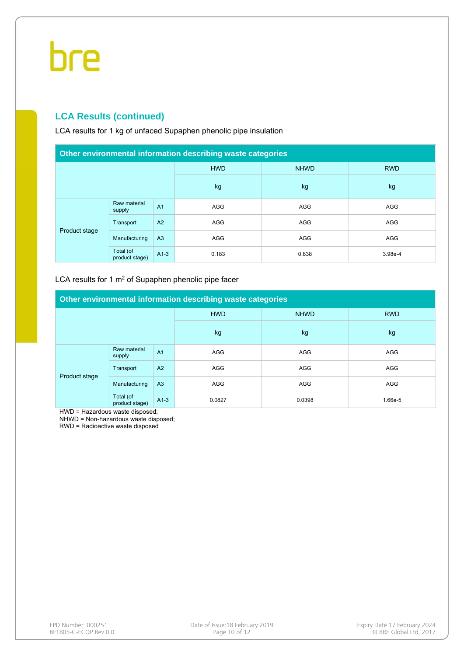#### **LCA Results (continued)**

LCA results for 1 kg of unfaced Supaphen phenolic pipe insulation

| Other environmental information describing waste categories |                             |                |                           |            |            |  |
|-------------------------------------------------------------|-----------------------------|----------------|---------------------------|------------|------------|--|
|                                                             |                             |                | <b>HWD</b><br><b>NHWD</b> |            | <b>RWD</b> |  |
|                                                             |                             | kg             | kg                        | kg         |            |  |
| Product stage                                               | Raw material<br>supply      | A <sub>1</sub> | AGG                       | <b>AGG</b> | AGG        |  |
|                                                             | Transport                   | A <sub>2</sub> | <b>AGG</b>                | <b>AGG</b> | AGG        |  |
|                                                             | Manufacturing               | A <sub>3</sub> | <b>AGG</b>                | AGG        | AGG        |  |
|                                                             | Total (of<br>product stage) | $A1-3$         | 0.183                     | 0.838      | 3.98e-4    |  |

#### LCA results for 1  $m<sup>2</sup>$  of Supaphen phenolic pipe facer

| Other environmental information describing waste categories |                             |                |                           |            |            |  |
|-------------------------------------------------------------|-----------------------------|----------------|---------------------------|------------|------------|--|
|                                                             |                             |                | <b>HWD</b><br><b>NHWD</b> |            | <b>RWD</b> |  |
|                                                             |                             |                | kg                        | kg         | kg         |  |
| Product stage                                               | Raw material<br>supply      | A <sub>1</sub> | <b>AGG</b>                | <b>AGG</b> | <b>AGG</b> |  |
|                                                             | Transport                   | A <sub>2</sub> | <b>AGG</b>                | <b>AGG</b> | <b>AGG</b> |  |
|                                                             | Manufacturing               | A <sub>3</sub> | <b>AGG</b>                | <b>AGG</b> | <b>AGG</b> |  |
|                                                             | Total (of<br>product stage) | $A1-3$         | 0.0827                    | 0.0398     | 1.66e-5    |  |

HWD = Hazardous waste disposed;

NHWD = Non-hazardous waste disposed;

RWD = Radioactive waste disposed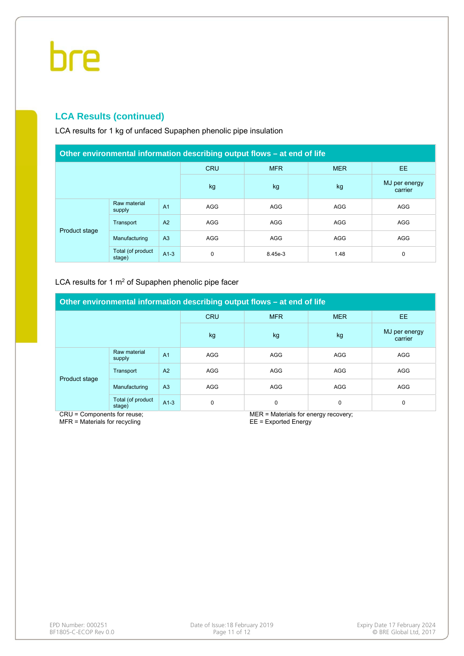### **LCA Results (continued)**

LCA results for 1 kg of unfaced Supaphen phenolic pipe insulation

| Other environmental information describing output flows – at end of life |                             |                |             |            |            |                          |  |
|--------------------------------------------------------------------------|-----------------------------|----------------|-------------|------------|------------|--------------------------|--|
|                                                                          |                             |                | <b>CRU</b>  | <b>MFR</b> | <b>MER</b> | EE.                      |  |
|                                                                          |                             |                | kg          | kg         | kg         | MJ per energy<br>carrier |  |
| Product stage                                                            | Raw material<br>supply      | A <sub>1</sub> | <b>AGG</b>  | <b>AGG</b> | <b>AGG</b> | <b>AGG</b>               |  |
|                                                                          | Transport                   | A2             | <b>AGG</b>  | <b>AGG</b> | <b>AGG</b> | <b>AGG</b>               |  |
|                                                                          | Manufacturing               | A <sub>3</sub> | <b>AGG</b>  | <b>AGG</b> | <b>AGG</b> | <b>AGG</b>               |  |
|                                                                          | Total (of product<br>stage) | $A1-3$         | $\mathbf 0$ | 8.45e-3    | 1.48       | 0                        |  |

#### LCA results for 1 m<sup>2</sup> of Supaphen phenolic pipe facer

| Other environmental information describing output flows – at end of life |                             |                |            |            |            |                          |  |
|--------------------------------------------------------------------------|-----------------------------|----------------|------------|------------|------------|--------------------------|--|
|                                                                          |                             |                | <b>CRU</b> | <b>MFR</b> | <b>MER</b> | EE.                      |  |
|                                                                          |                             |                | kg         | kg         | kg         | MJ per energy<br>carrier |  |
| Product stage                                                            | Raw material<br>supply      | A <sub>1</sub> | AGG        | <b>AGG</b> | <b>AGG</b> | <b>AGG</b>               |  |
|                                                                          | Transport                   | A <sub>2</sub> | <b>AGG</b> | <b>AGG</b> | <b>AGG</b> | <b>AGG</b>               |  |
|                                                                          | Manufacturing               | A <sub>3</sub> | <b>AGG</b> | <b>AGG</b> | <b>AGG</b> | <b>AGG</b>               |  |
|                                                                          | Total (of product<br>stage) | $A1-3$         | 0          | 0          | 0          | 0                        |  |

CRU = Components for reuse; MFR = Materials for recycling

MER = Materials for energy recovery;

EE = Exported Energy